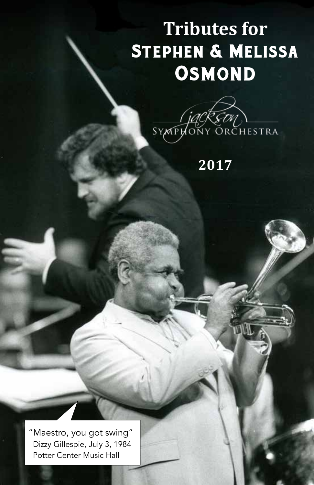# **Tributes for** Stephen & Melissa **OSMOND**



**2017**

FINT

Tributes center music Train "Maestro, you got swing" Dizzy Gillespie, July 3, 1984 Potter Center Music Hall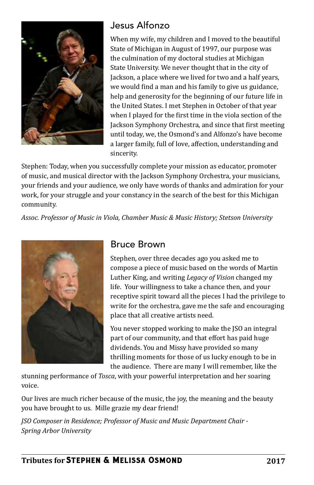

#### Jesus Alfonzo

When my wife, my children and I moved to the beautiful State of Michigan in August of 1997, our purpose was the culmination of my doctoral studies at Michigan State University. We never thought that in the city of Jackson, a place where we lived for two and a half years, we would find a man and his family to give us guidance, help and generosity for the beginning of our future life in the United States. I met Stephen in October of that year when I played for the first time in the viola section of the Jackson Symphony Orchestra, and since that first meeting until today, we, the Osmond's and Alfonzo's have become a larger family, full of love, affection, understanding and sincerity.

Stephen: Today, when you successfully complete your mission as educator, promoter of music, and musical director with the Jackson Symphony Orchestra, your musicians, your friends and your audience, we only have words of thanks and admiration for your work, for your struggle and your constancy in the search of the best for this Michigan community.

*Assoc. Professor of Music in Viola, Chamber Music & Music History; Stetson University*



#### Bruce Brown

Stephen, over three decades ago you asked me to compose a piece of music based on the words of Martin Luther King, and writing *Legacy of Vision* changed my life. Your willingness to take a chance then, and your receptive spirit toward all the pieces I had the privilege to write for the orchestra, gave me the safe and encouraging place that all creative artists need.

You never stopped working to make the JSO an integral part of our community, and that effort has paid huge dividends. You and Missy have provided so many thrilling moments for those of us lucky enough to be in the audience. There are many I will remember, like the

stunning performance of *Tosca*, with your powerful interpretation and her soaring voice.

Our lives are much richer because of the music, the joy, the meaning and the beauty you have brought to us. Mille grazie my dear friend!

*JSO Composer in Residence; Professor of Music and Music Department Chair - Spring Arbor University*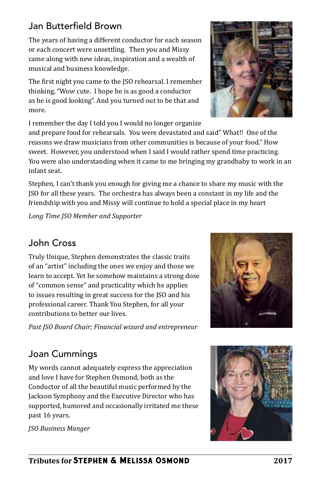### Jan Butterfield Brown

The years of having a different conductor for each season or each concert were unsettling. Then you and Missy came along with new ideas, inspiration and a wealth of musical and business knowledge.

The first night you came to the JSO rehearsal. I remember thinking, "Wow cute. I hope he is as good a conductor as he is good looking". And you turned out to be that and more.

I remember the day I told you I would no longer organize and prepare food for rehearsals. You were devastated and said" What!! One of the reasons we draw musicians from other communities is because of your food." How sweet. However, you understood when I said I would rather spend time practicing. You were also understanding when it came to me bringing my grandbaby to work in an infant seat.

Stephen, I can't thank you enough for giving me a chance to share my music with the JSO for all these years. The orchestra has always been a constant in my life and the friendship with you and Missy will continue to hold a special place in my heart

*Long Time JSO Member and Supporter*

### John Cross

Truly Unique, Stephen demonstrates the classic traits of an "artist" including the ones we enjoy and those we learn to accept. Yet he somehow maintains a strong dose of "common sense" and practicality which he applies to issues resulting in great success for the JSO and his professional career. Thank You Stephen, for all your contributions to better our lives.

*Past JSO Board Chair; Financial wizard and entrepreneur*

## Joan Cummings

My words cannot adequately express the appreciation and love I have for Stephen Osmond, both as the Conductor of all the beautiful music performed by the Jackson Symphony and the Executive Director who has supported, humored and occasionally irritated me these past 16 years.

*JSO Business Manger*





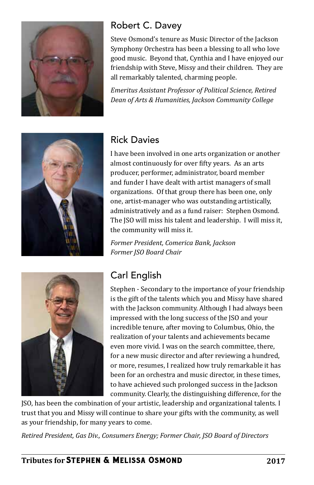

#### Robert C. Davey

Steve Osmond's tenure as Music Director of the Jackson Symphony Orchestra has been a blessing to all who love good music. Beyond that, Cynthia and I have enjoyed our friendship with Steve, Missy and their children. They are all remarkably talented, charming people.

*Emeritus Assistant Professor of Political Science, Retired Dean of Arts & Humanities, Jackson Community College*



## Rick Davies

I have been involved in one arts organization or another almost continuously for over fifty years. As an arts producer, performer, administrator, board member and funder I have dealt with artist managers of small organizations. Of that group there has been one, only one, artist-manager who was outstanding artistically, administratively and as a fund raiser: Stephen Osmond. The JSO will miss his talent and leadership. I will miss it, the community will miss it.

*Former President, Comerica Bank, Jackson Former JSO Board Chair*



# Carl English

Stephen - Secondary to the importance of your friendship is the gift of the talents which you and Missy have shared with the Jackson community. Although I had always been impressed with the long success of the JSO and your incredible tenure, after moving to Columbus, Ohio, the realization of your talents and achievements became even more vivid. I was on the search committee, there, for a new music director and after reviewing a hundred, or more, resumes, I realized how truly remarkable it has been for an orchestra and music director, in these times, to have achieved such prolonged success in the Jackson community. Clearly, the distinguishing difference, for the

JSO, has been the combination of your artistic, leadership and organizational talents. I trust that you and Missy will continue to share your gifts with the community, as well as your friendship, for many years to come.

*Retired President, Gas Div., Consumers Energy; Former Chair, JSO Board of Directors*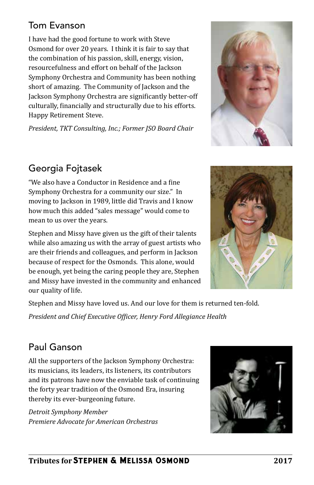#### Tom Evanson

I have had the good fortune to work with Steve Osmond for over 20 years. I think it is fair to say that the combination of his passion, skill, energy, vision, resourcefulness and effort on behalf of the Jackson Symphony Orchestra and Community has been nothing short of amazing. The Community of Jackson and the Jackson Symphony Orchestra are significantly better-off culturally, financially and structurally due to his efforts. Happy Retirement Steve.

*President, TKT Consulting, Inc.; Former JSO Board Chair*



## Georgia Fojtasek

"We also have a Conductor in Residence and a fine Symphony Orchestra for a community our size." In moving to Jackson in 1989, little did Travis and I know how much this added "sales message" would come to mean to us over the years.

Stephen and Missy have given us the gift of their talents while also amazing us with the array of guest artists who are their friends and colleagues, and perform in Jackson because of respect for the Osmonds. This alone, would be enough, yet being the caring people they are, Stephen and Missy have invested in the community and enhanced our quality of life.



Stephen and Missy have loved us. And our love for them is returned ten-fold.

*President and Chief Executive Officer, Henry Ford Allegiance Health*

### Paul Ganson

All the supporters of the Jackson Symphony Orchestra: its musicians, its leaders, its listeners, its contributors and its patrons have now the enviable task of continuing the forty year tradition of the Osmond Era, insuring thereby its ever-burgeoning future.

*Detroit Symphony Member Premiere Advocate for American Orchestras*

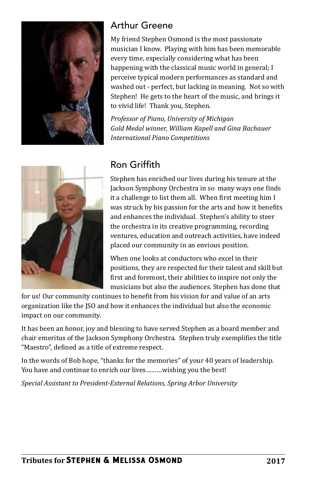

### Arthur Greene

My friend Stephen Osmond is the most passionate musician I know. Playing with him has been memorable every time, especially considering what has been happening with the classical music world in general; I perceive typical modern performances as standard and washed out - perfect, but lacking in meaning. Not so with Stephen! He gets to the heart of the music, and brings it to vivid life! Thank you, Stephen.

*Professor of Piano, University of Michigan Gold Medal winner, William Kapell and Gina Bachauer International Piano Competitions*



### Ron Griffith

Stephen has enriched our lives during his tenure at the Jackson Symphony Orchestra in so many ways one finds it a challenge to list them all. When first meeting him I was struck by his passion for the arts and how it benefits and enhances the individual. Stephen's ability to steer the orchestra in its creative programming, recording ventures, education and outreach activities, have indeed placed our community in an envious position.

When one looks at conductors who excel in their positions, they are respected for their talent and skill but first and foremost, their abilities to inspire not only the musicians but also the audiences. Stephen has done that

for us! Our community continues to benefit from his vision for and value of an arts organization like the JSO and how it enhances the individual but also the economic impact on our community.

It has been an honor, joy and blessing to have served Stephen as a board member and chair emeritus of the Jackson Symphony Orchestra. Stephen truly exemplifies the title "Maestro", defined as a title of extreme respect.

In the words of Bob hope, "thanks for the memories" of your 40 years of leadership. You have and continue to enrich our lives………wishing you the best!

*Special Assistant to President-External Relations, Spring Arbor University*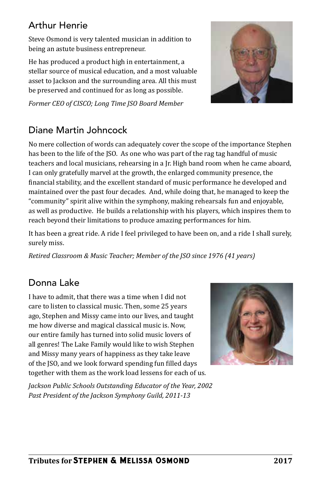## Arthur Henrie

Steve Osmond is very talented musician in addition to being an astute business entrepreneur.

He has produced a product high in entertainment, a stellar source of musical education, and a most valuable asset to Jackson and the surrounding area. All this must be preserved and continued for as long as possible.



*Former CEO of CISCO; Long Time JSO Board Member*

## Diane Martin Johncock

No mere collection of words can adequately cover the scope of the importance Stephen has been to the life of the JSO. As one who was part of the rag tag handful of music teachers and local musicians, rehearsing in a Jr. High band room when he came aboard, I can only gratefully marvel at the growth, the enlarged community presence, the financial stability, and the excellent standard of music performance he developed and maintained over the past four decades. And, while doing that, he managed to keep the "community" spirit alive within the symphony, making rehearsals fun and enjoyable, as well as productive. He builds a relationship with his players, which inspires them to reach beyond their limitations to produce amazing performances for him.

It has been a great ride. A ride I feel privileged to have been on, and a ride I shall surely, surely miss.

*Retired Classroom & Music Teacher; Member of the JSO since 1976 (41 years)*

# Donna Lake

I have to admit, that there was a time when I did not care to listen to classical music. Then, some 25 years ago, Stephen and Missy came into our lives, and taught me how diverse and magical classical music is. Now, our entire family has turned into solid music lovers of all genres! The Lake Family would like to wish Stephen and Missy many years of happiness as they take leave of the JSO, and we look forward spending fun filled days together with them as the work load lessens for each of us.

*Jackson Public Schools Outstanding Educator of the Year, 2002 Past President of the Jackson Symphony Guild, 2011-13*

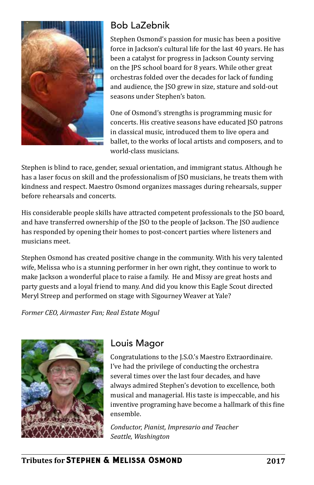

## Bob LaZebnik

Stephen Osmond's passion for music has been a positive force in Jackson's cultural life for the last 40 years. He has been a catalyst for progress in Jackson County serving on the JPS school board for 8 years. While other great orchestras folded over the decades for lack of funding and audience, the JSO grew in size, stature and sold-out seasons under Stephen's baton.

One of Osmond's strengths is programming music for concerts. His creative seasons have educated JSO patrons in classical music, introduced them to live opera and ballet, to the works of local artists and composers, and to world-class musicians.

Stephen is blind to race, gender, sexual orientation, and immigrant status. Although he has a laser focus on skill and the professionalism of JSO musicians, he treats them with kindness and respect. Maestro Osmond organizes massages during rehearsals, supper before rehearsals and concerts.

His considerable people skills have attracted competent professionals to the JSO board, and have transferred ownership of the JSO to the people of Jackson. The JSO audience has responded by opening their homes to post-concert parties where listeners and musicians meet.

Stephen Osmond has created positive change in the community. With his very talented wife, Melissa who is a stunning performer in her own right, they continue to work to make Jackson a wonderful place to raise a family. He and Missy are great hosts and party guests and a loyal friend to many. And did you know this Eagle Scout directed Meryl Streep and performed on stage with Sigourney Weaver at Yale?

*Former CEO, Airmaster Fan; Real Estate Mogul*



### Louis Magor

Congratulations to the J.S.O.'s Maestro Extraordinaire. I've had the privilege of conducting the orchestra several times over the last four decades, and have always admired Stephen's devotion to excellence, both musical and managerial. His taste is impeccable, and his inventive programing have become a hallmark of this fine ensemble.

*Conductor, Pianist, Impresario and Teacher Seattle, Washington*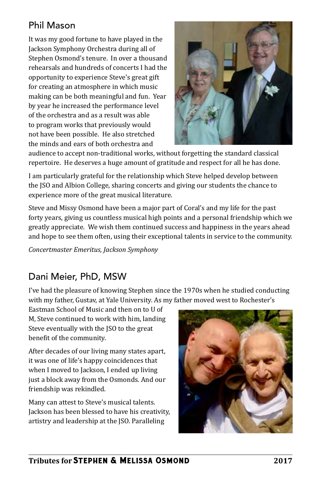### Phil Mason

It was my good fortune to have played in the Jackson Symphony Orchestra during all of Stephen Osmond's tenure. In over a thousand rehearsals and hundreds of concerts I had the opportunity to experience Steve's great gift for creating an atmosphere in which music making can be both meaningful and fun. Year by year he increased the performance level of the orchestra and as a result was able to program works that previously would not have been possible. He also stretched the minds and ears of both orchestra and



audience to accept non-traditional works, without forgetting the standard classical repertoire. He deserves a huge amount of gratitude and respect for all he has done.

I am particularly grateful for the relationship which Steve helped develop between the JSO and Albion College, sharing concerts and giving our students the chance to experience more of the great musical literature.

Steve and Missy Osmond have been a major part of Coral's and my life for the past forty years, giving us countless musical high points and a personal friendship which we greatly appreciate. We wish them continued success and happiness in the years ahead and hope to see them often, using their exceptional talents in service to the community.

*Concertmaster Emeritus, Jackson Symphony*

## Dani Meier, PhD, MSW

I've had the pleasure of knowing Stephen since the 1970s when he studied conducting with my father, Gustav, at Yale University. As my father moved west to Rochester's

Eastman School of Music and then on to U of M, Steve continued to work with him, landing Steve eventually with the JSO to the great benefit of the community.

After decades of our living many states apart, it was one of life's happy coincidences that when I moved to Jackson, I ended up living just a block away from the Osmonds. And our friendship was rekindled.

Many can attest to Steve's musical talents. Jackson has been blessed to have his creativity, artistry and leadership at the JSO. Paralleling

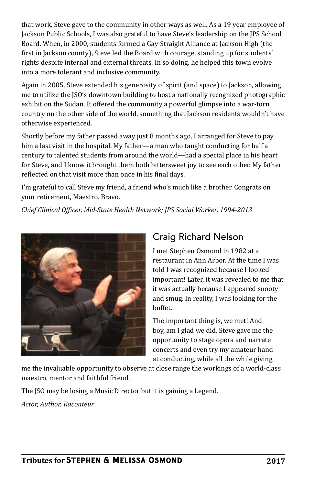that work, Steve gave to the community in other ways as well. As a 19 year employee of Jackson Public Schools, I was also grateful to have Steve's leadership on the JPS School Board. When, in 2000, students formed a Gay-Straight Alliance at Jackson High (the first in Jackson county), Steve led the Board with courage, standing up for students' rights despite internal and external threats. In so doing, he helped this town evolve into a more tolerant and inclusive community.

Again in 2005, Steve extended his generosity of spirit (and space) to Jackson, allowing me to utilize the JSO's downtown building to host a nationally recognized photographic exhibit on the Sudan. It offered the community a powerful glimpse into a war-torn country on the other side of the world, something that Jackson residents wouldn't have otherwise experienced.

Shortly before my father passed away just 8 months ago, I arranged for Steve to pay him a last visit in the hospital. My father—a man who taught conducting for half a century to talented students from around the world—had a special place in his heart for Steve, and I know it brought them both bittersweet joy to see each other. My father reflected on that visit more than once in his final days.

I'm grateful to call Steve my friend, a friend who's much like a brother. Congrats on your retirement, Maestro. Bravo.

*Chief Clinical Officer, Mid-State Health Network; JPS Social Worker, 1994-2013*



## Craig Richard Nelson

I met Stephen Osmond in 1982 at a restaurant in Ann Arbor. At the time I was told I was recognized because I looked important! Later, it was revealed to me that it was actually because I appeared snooty and smug. In reality, I was looking for the buffet.

The important thing is, we met! And boy, am I glad we did. Steve gave me the opportunity to stage opera and narrate concerts and even try my amateur hand at conducting, while all the while giving

me the invaluable opportunity to observe at close range the workings of a world-class maestro, mentor and faithful friend.

The JSO may be losing a Music Director but it is gaining a Legend.

*Actor, Author, Raconteur*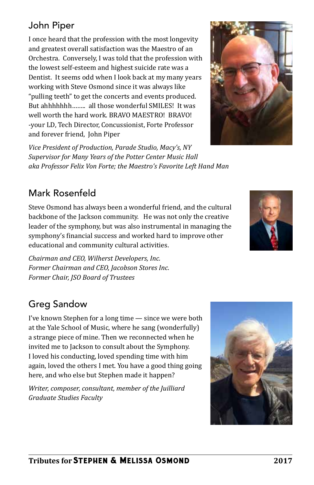## John Piper

I once heard that the profession with the most longevity and greatest overall satisfaction was the Maestro of an Orchestra. Conversely, I was told that the profession with the lowest self-esteem and highest suicide rate was a Dentist. It seems odd when I look back at my many years working with Steve Osmond since it was always like "pulling teeth" to get the concerts and events produced. But ahhhhhhh…….. all those wonderful SMILES! It was well worth the hard work. BRAVO MAESTRO! BRAVO! -your LD, Tech Director, Concussionist, Forte Professor and forever friend, John Piper

*Vice President of Production, Parade Studio, Macy's, NY Supervisor for Many Years of the Potter Center Music Hall aka Professor Felix Von Forte; the Maestro's Favorite Left Hand Man*

## Mark Rosenfeld

Steve Osmond has always been a wonderful friend, and the cultural backbone of the Jackson community. He was not only the creative leader of the symphony, but was also instrumental in managing the symphony's financial success and worked hard to improve other educational and community cultural activities.

*Chairman and CEO, Wilherst Developers, Inc. Former Chairman and CEO, Jacobson Stores Inc. Former Chair, JSO Board of Trustees*

# Greg Sandow

I've known Stephen for a long time — since we were both at the Yale School of Music, where he sang (wonderfully) a strange piece of mine. Then we reconnected when he invited me to Jackson to consult about the Symphony. I loved his conducting, loved spending time with him again, loved the others I met. You have a good thing going here, and who else but Stephen made it happen?

*Writer, composer, consultant, member of the Juilliard Graduate Studies Faculty*





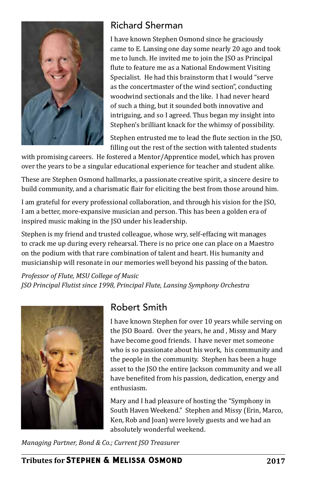

#### Richard Sherman

I have known Stephen Osmond since he graciously came to E. Lansing one day some nearly 20 ago and took me to lunch. He invited me to join the JSO as Principal flute to feature me as a National Endowment Visiting Specialist. He had this brainstorm that I would "serve as the concertmaster of the wind section", conducting woodwind sectionals and the like. I had never heard of such a thing, but it sounded both innovative and intriguing, and so I agreed. Thus began my insight into Stephen's brilliant knack for the whimsy of possibility.

Stephen entrusted me to lead the flute section in the JSO, filling out the rest of the section with talented students

with promising careers. He fostered a Mentor/Apprentice model, which has proven over the years to be a singular educational experience for teacher and student alike.

These are Stephen Osmond hallmarks, a passionate creative spirit, a sincere desire to build community, and a charismatic flair for eliciting the best from those around him.

I am grateful for every professional collaboration, and through his vision for the JSO, I am a better, more-expansive musician and person. This has been a golden era of inspired music making in the JSO under his leadership.

Stephen is my friend and trusted colleague, whose wry, self-effacing wit manages to crack me up during every rehearsal. There is no price one can place on a Maestro on the podium with that rare combination of talent and heart. His humanity and musicianship will resonate in our memories well beyond his passing of the baton.

*Professor of Flute, MSU College of Music JSO Principal Flutist since 1998, Principal Flute, Lansing Symphony Orchestra*



### Robert Smith

I have known Stephen for over 10 years while serving on the JSO Board. Over the years, he and , Missy and Mary have become good friends. I have never met someone who is so passionate about his work, his community and the people in the community. Stephen has been a huge asset to the JSO the entire Jackson community and we all have benefited from his passion, dedication, energy and enthusiasm.

Mary and I had pleasure of hosting the "Symphony in South Haven Weekend." Stephen and Missy (Erin, Marco, Ken, Rob and Joan) were lovely guests and we had an absolutely wonderful weekend.

*Managing Partner, Bond & Co.; Current JSO Treasurer*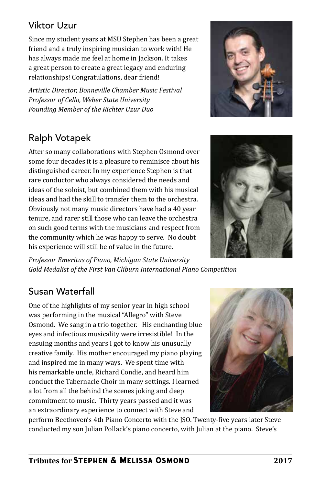### Viktor Uzur

Since my student years at MSU Stephen has been a great friend and a truly inspiring musician to work with! He has always made me feel at home in Jackson. It takes a great person to create a great legacy and enduring relationships! Congratulations, dear friend!

*Artistic Director, Bonneville Chamber Music Festival Professor of Cello, Weber State University Founding Member of the Richter Uzur Duo*

# Ralph Votapek

After so many collaborations with Stephen Osmond over some four decades it is a pleasure to reminisce about his distinguished career. In my experience Stephen is that rare conductor who always considered the needs and ideas of the soloist, but combined them with his musical ideas and had the skill to transfer them to the orchestra. Obviously not many music directors have had a 40 year tenure, and rarer still those who can leave the orchestra on such good terms with the musicians and respect from the community which he was happy to serve. No doubt his experience will still be of value in the future.



# Susan Waterfall

One of the highlights of my senior year in high school was performing in the musical "Allegro" with Steve Osmond. We sang in a trio together. His enchanting blue eyes and infectious musicality were irresistible! In the ensuing months and years I got to know his unusually creative family. His mother encouraged my piano playing and inspired me in many ways. We spent time with his remarkable uncle, Richard Condie, and heard him conduct the Tabernacle Choir in many settings. I learned a lot from all the behind the scenes joking and deep commitment to music. Thirty years passed and it was an extraordinary experience to connect with Steve and



perform Beethoven's 4th Piano Concerto with the JSO. Twenty-five years later Steve conducted my son Julian Pollack's piano concerto, with Julian at the piano. Steve's



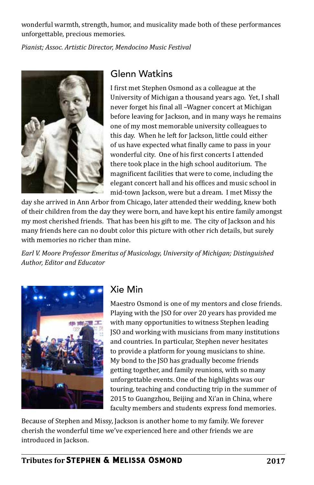wonderful warmth, strength, humor, and musicality made both of these performances unforgettable, precious memories.

*Pianist; Assoc. Artistic Director, Mendocino Music Festival*



#### Glenn Watkins

I first met Stephen Osmond as a colleague at the University of Michigan a thousand years ago. Yet, I shall never forget his final all –Wagner concert at Michigan before leaving for Jackson, and in many ways he remains one of my most memorable university colleagues to this day. When he left for Jackson, little could either of us have expected what finally came to pass in your wonderful city. One of his first concerts I attended there took place in the high school auditorium. The magnificent facilities that were to come, including the elegant concert hall and his offices and music school in mid-town Jackson, were but a dream. I met Missy the

day she arrived in Ann Arbor from Chicago, later attended their wedding, knew both of their children from the day they were born, and have kept his entire family amongst my most cherished friends. That has been his gift to me. The city of Jackson and his many friends here can no doubt color this picture with other rich details, but surely with memories no richer than mine.

*Earl V. Moore Professor Emeritus of Musicology, University of Michigan; Distinguished Author, Editor and Educator*



#### Xie Min

Maestro Osmond is one of my mentors and close friends. Playing with the JSO for over 20 years has provided me with many opportunities to witness Stephen leading JSO and working with musicians from many institutions and countries. In particular, Stephen never hesitates to provide a platform for young musicians to shine. My bond to the JSO has gradually become friends getting together, and family reunions, with so many unforgettable events. One of the highlights was our touring, teaching and conducting trip in the summer of 2015 to Guangzhou, Beijing and Xi'an in China, where faculty members and students express fond memories.

Because of Stephen and Missy, Jackson is another home to my family. We forever cherish the wonderful time we've experienced here and other friends we are introduced in Jackson.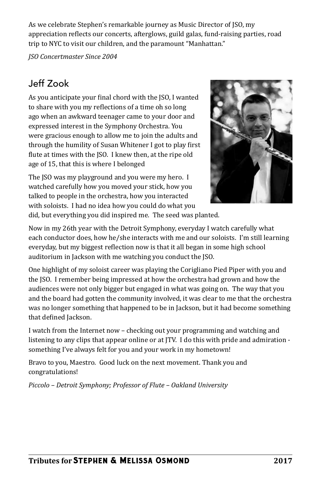As we celebrate Stephen's remarkable journey as Music Director of JSO, my appreciation reflects our concerts, afterglows, guild galas, fund-raising parties, road trip to NYC to visit our children, and the paramount "Manhattan."

*JSO Concertmaster Since 2004*

## Jeff Zook

As you anticipate your final chord with the JSO, I wanted to share with you my reflections of a time oh so long ago when an awkward teenager came to your door and expressed interest in the Symphony Orchestra. You were gracious enough to allow me to join the adults and through the humility of Susan Whitener I got to play first flute at times with the JSO. I knew then, at the ripe old age of 15, that this is where I belonged

The JSO was my playground and you were my hero. I watched carefully how you moved your stick, how you talked to people in the orchestra, how you interacted with soloists. I had no idea how you could do what you



did, but everything you did inspired me. The seed was planted.

Now in my 26th year with the Detroit Symphony, everyday I watch carefully what each conductor does, how he/she interacts with me and our soloists. I'm still learning everyday, but my biggest reflection now is that it all began in some high school auditorium in Jackson with me watching you conduct the JSO.

One highlight of my soloist career was playing the Corigliano Pied Piper with you and the JSO. I remember being impressed at how the orchestra had grown and how the audiences were not only bigger but engaged in what was going on. The way that you and the board had gotten the community involved, it was clear to me that the orchestra was no longer something that happened to be in Jackson, but it had become something that defined Jackson.

I watch from the Internet now – checking out your programming and watching and listening to any clips that appear online or at JTV. I do this with pride and admiration something I've always felt for you and your work in my hometown!

Bravo to you, Maestro. Good luck on the next movement. Thank you and congratulations!

*Piccolo – Detroit Symphony; Professor of Flute – Oakland University*